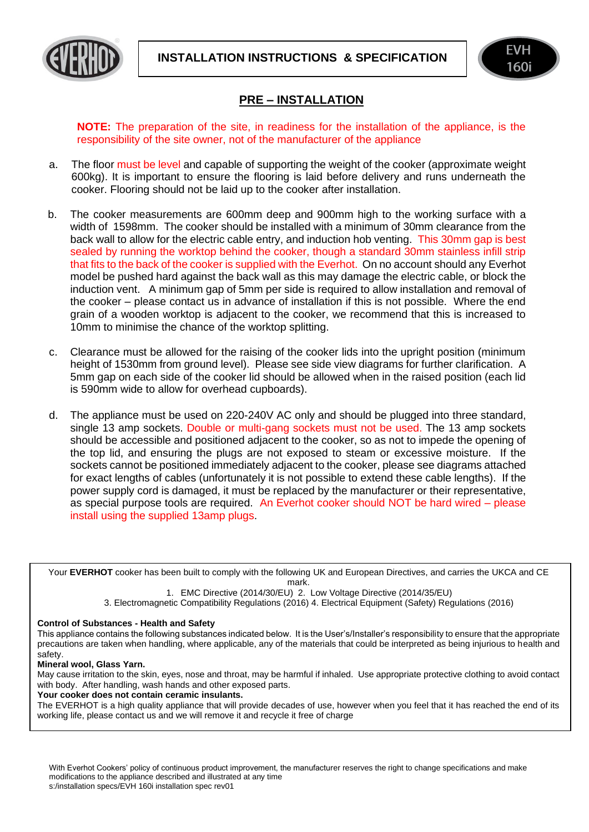



## **PRE – INSTALLATION**

**NOTE:** The preparation of the site, in readiness for the installation of the appliance, is the responsibility of the site owner, not of the manufacturer of the appliance

- a. The floor must be level and capable of supporting the weight of the cooker (approximate weight 600kg). It is important to ensure the flooring is laid before delivery and runs underneath the cooker. Flooring should not be laid up to the cooker after installation.
- b. The cooker measurements are 600mm deep and 900mm high to the working surface with a width of 1598mm. The cooker should be installed with a minimum of 30mm clearance from the back wall to allow for the electric cable entry, and induction hob venting. This 30mm gap is best sealed by running the worktop behind the cooker, though a standard 30mm stainless infill strip that fits to the back of the cooker is supplied with the Everhot. On no account should any Everhot model be pushed hard against the back wall as this may damage the electric cable, or block the induction vent. A minimum gap of 5mm per side is required to allow installation and removal of the cooker – please contact us in advance of installation if this is not possible. Where the end grain of a wooden worktop is adjacent to the cooker, we recommend that this is increased to 10mm to minimise the chance of the worktop splitting.
- c. Clearance must be allowed for the raising of the cooker lids into the upright position (minimum height of 1530mm from ground level). Please see side view diagrams for further clarification. A 5mm gap on each side of the cooker lid should be allowed when in the raised position (each lid is 590mm wide to allow for overhead cupboards).
- d. The appliance must be used on 220-240V AC only and should be plugged into three standard, single 13 amp sockets. Double or multi-gang sockets must not be used. The 13 amp sockets should be accessible and positioned adjacent to the cooker, so as not to impede the opening of the top lid, and ensuring the plugs are not exposed to steam or excessive moisture. If the sockets cannot be positioned immediately adjacent to the cooker, please see diagrams attached for exact lengths of cables (unfortunately it is not possible to extend these cable lengths). If the power supply cord is damaged, it must be replaced by the manufacturer or their representative, as special purpose tools are required. An Everhot cooker should NOT be hard wired – please install using the supplied 13amp plugs.

Your **EVERHOT** cooker has been built to comply with the following UK and European Directives, and carries the UKCA and CE mark.

1. EMC Directive (2014/30/EU) 2. Low Voltage Directive (2014/35/EU) 3. Electromagnetic Compatibility Regulations (2016) 4. Electrical Equipment (Safety) Regulations (2016)

## **Control of Substances - Health and Safety**

This appliance contains the following substances indicated below. It is the User's/Installer's responsibility to ensure that the appropriate precautions are taken when handling, where applicable, any of the materials that could be interpreted as being injurious to health and safety.

## **Mineral wool, Glass Yarn.**

May cause irritation to the skin, eyes, nose and throat, may be harmful if inhaled. Use appropriate protective clothing to avoid contact with body. After handling, wash hands and other exposed parts.

**Your cooker does not contain ceramic insulants.** 

The EVERHOT is a high quality appliance that will provide decades of use, however when you feel that it has reached the end of its working life, please contact us and we will remove it and recycle it free of charge